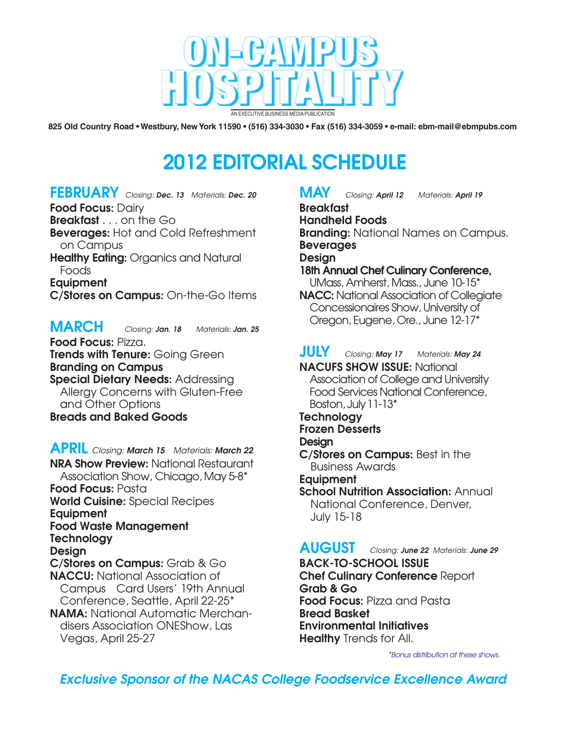

825 Old Country Road • Westbury, New York 11590 • (516) 334-3030 • Fax (516) 334-3059 • e-mail: ebm-mail@ebmpubs.com

# **2012 EDITORIAL SCHEDULE**

**FEBRUARY** *Closing: Dec. 13 Materials: Dec. 20*

**Food Focus:** Dairy

**Breakfast** . . . on the Go

**Beverages:** Hot and Cold Refreshment

on Campus **Healthy Eating:** Organics and Natural

Foods **Equipment** 

**C/Stores on Campus:** On-the-Go Items

**MARCH** *Closing: Jan. 18 Materials: Jan. 25*

**Food Focus:** Pizza. **Trends with Tenure:** Going Green **Branding on Campus Special Dietary Needs:** Addressing

Allergy Concerns with Gluten-Free and Other Options **Breads and Baked Goods**

**APRIL** *Closing: March 15 Materials: March 22* **NRA Show Preview:** National Restaurant Association Show, Chicago, May 5-8\* **Food Focus:** Pasta **World Cuisine:** Special Recipes **Equipment Food Waste Management Technology Design C/Stores on Campus:** Grab & Go **NACCU:** National Association of Campus Card Users' 19th Annual Conference, Seattle, April 22-25\* **NAMA:** National Automatic Merchandisers Association ONEShow, Las

Vegas, April 25-27

## **MAY** *Closing: April 12 Materials: April 19*

**Breakfast Handheld Foods Branding:** National Names on Campus. **Beverages Design 18th Annual Chef Culinary Conference,** UMass, Amherst, Mass., June 10-15\*

**NACC:** National Association of Collegiate Concessionaires Show, University of Oregon, Eugene, Ore., June 12-17\*

**JULY** *Closing: May 17 Materials: May 24* **NACUFS SHOW ISSUE:** National Association of College and University Food Services National Conference, Boston, July 11-13\* **Technology Frozen Desserts Design**

**C/Stores on Campus:** Best in the Business Awards

**Equipment**

**School Nutrition Association:** Annual National Conference, Denver, July 15-18

**AUGUST** *Closing: June 22 Materials: June 29*

**BACK-TO-SCHOOL ISSUE Chef Culinary Conference** Report **Grab & Go Food Focus:** Pizza and Pasta **Bread Basket Environmental Initiatives Healthy** Trends for All.

*\*Bonus distribution at these shows.*

*Exclusive Sponsor of the NACAS College Foodservice Excellence Award*